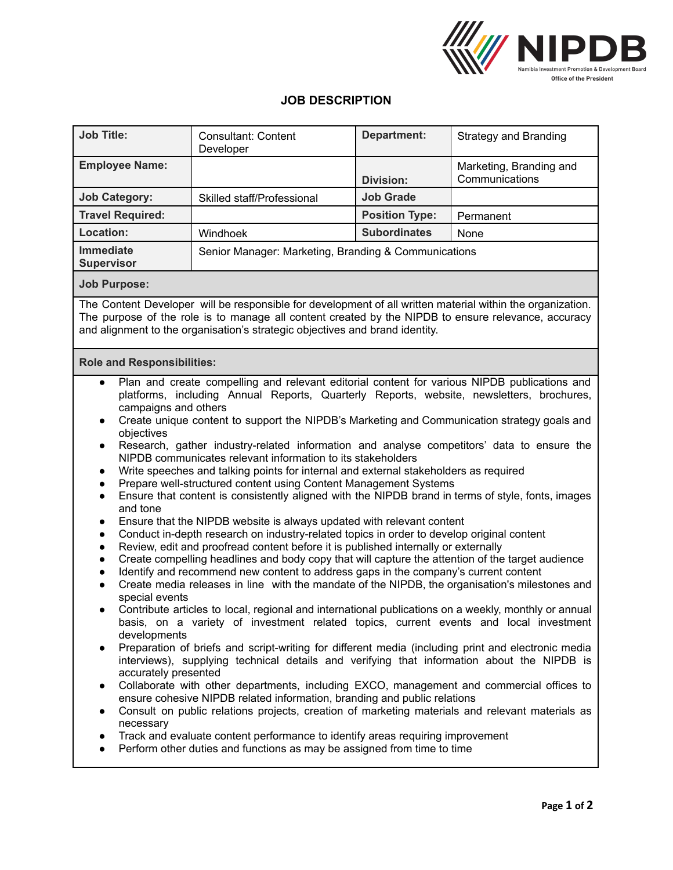

## **JOB DESCRIPTION**

| <b>Job Title:</b>                                                                                                                                                                                                                                                                                                                                                                                                                                                                                                                                                                                                                                                                                                                                                                                                                                                                                                                                                                                                                                                                                                                                                                                                                                                                                                                                                                                                                                                                                                                                                                                                                                                                                                                                                                                                                                                                                                                                                                                                                                                                                                                                                                                                                                                                                                                                                                                  | Consultant: Content<br>Developer                     | <b>Department:</b>    | <b>Strategy and Branding</b>              |
|----------------------------------------------------------------------------------------------------------------------------------------------------------------------------------------------------------------------------------------------------------------------------------------------------------------------------------------------------------------------------------------------------------------------------------------------------------------------------------------------------------------------------------------------------------------------------------------------------------------------------------------------------------------------------------------------------------------------------------------------------------------------------------------------------------------------------------------------------------------------------------------------------------------------------------------------------------------------------------------------------------------------------------------------------------------------------------------------------------------------------------------------------------------------------------------------------------------------------------------------------------------------------------------------------------------------------------------------------------------------------------------------------------------------------------------------------------------------------------------------------------------------------------------------------------------------------------------------------------------------------------------------------------------------------------------------------------------------------------------------------------------------------------------------------------------------------------------------------------------------------------------------------------------------------------------------------------------------------------------------------------------------------------------------------------------------------------------------------------------------------------------------------------------------------------------------------------------------------------------------------------------------------------------------------------------------------------------------------------------------------------------------------|------------------------------------------------------|-----------------------|-------------------------------------------|
| <b>Employee Name:</b>                                                                                                                                                                                                                                                                                                                                                                                                                                                                                                                                                                                                                                                                                                                                                                                                                                                                                                                                                                                                                                                                                                                                                                                                                                                                                                                                                                                                                                                                                                                                                                                                                                                                                                                                                                                                                                                                                                                                                                                                                                                                                                                                                                                                                                                                                                                                                                              |                                                      | <b>Division:</b>      | Marketing, Branding and<br>Communications |
| <b>Job Category:</b>                                                                                                                                                                                                                                                                                                                                                                                                                                                                                                                                                                                                                                                                                                                                                                                                                                                                                                                                                                                                                                                                                                                                                                                                                                                                                                                                                                                                                                                                                                                                                                                                                                                                                                                                                                                                                                                                                                                                                                                                                                                                                                                                                                                                                                                                                                                                                                               | Skilled staff/Professional                           | <b>Job Grade</b>      |                                           |
| <b>Travel Required:</b>                                                                                                                                                                                                                                                                                                                                                                                                                                                                                                                                                                                                                                                                                                                                                                                                                                                                                                                                                                                                                                                                                                                                                                                                                                                                                                                                                                                                                                                                                                                                                                                                                                                                                                                                                                                                                                                                                                                                                                                                                                                                                                                                                                                                                                                                                                                                                                            |                                                      | <b>Position Type:</b> | Permanent                                 |
| Location:                                                                                                                                                                                                                                                                                                                                                                                                                                                                                                                                                                                                                                                                                                                                                                                                                                                                                                                                                                                                                                                                                                                                                                                                                                                                                                                                                                                                                                                                                                                                                                                                                                                                                                                                                                                                                                                                                                                                                                                                                                                                                                                                                                                                                                                                                                                                                                                          | Windhoek                                             | <b>Subordinates</b>   | None                                      |
| <b>Immediate</b><br><b>Supervisor</b>                                                                                                                                                                                                                                                                                                                                                                                                                                                                                                                                                                                                                                                                                                                                                                                                                                                                                                                                                                                                                                                                                                                                                                                                                                                                                                                                                                                                                                                                                                                                                                                                                                                                                                                                                                                                                                                                                                                                                                                                                                                                                                                                                                                                                                                                                                                                                              | Senior Manager: Marketing, Branding & Communications |                       |                                           |
| <b>Job Purpose:</b>                                                                                                                                                                                                                                                                                                                                                                                                                                                                                                                                                                                                                                                                                                                                                                                                                                                                                                                                                                                                                                                                                                                                                                                                                                                                                                                                                                                                                                                                                                                                                                                                                                                                                                                                                                                                                                                                                                                                                                                                                                                                                                                                                                                                                                                                                                                                                                                |                                                      |                       |                                           |
| The Content Developer will be responsible for development of all written material within the organization.<br>The purpose of the role is to manage all content created by the NIPDB to ensure relevance, accuracy<br>and alignment to the organisation's strategic objectives and brand identity.                                                                                                                                                                                                                                                                                                                                                                                                                                                                                                                                                                                                                                                                                                                                                                                                                                                                                                                                                                                                                                                                                                                                                                                                                                                                                                                                                                                                                                                                                                                                                                                                                                                                                                                                                                                                                                                                                                                                                                                                                                                                                                  |                                                      |                       |                                           |
| <b>Role and Responsibilities:</b>                                                                                                                                                                                                                                                                                                                                                                                                                                                                                                                                                                                                                                                                                                                                                                                                                                                                                                                                                                                                                                                                                                                                                                                                                                                                                                                                                                                                                                                                                                                                                                                                                                                                                                                                                                                                                                                                                                                                                                                                                                                                                                                                                                                                                                                                                                                                                                  |                                                      |                       |                                           |
| Plan and create compelling and relevant editorial content for various NIPDB publications and<br>platforms, including Annual Reports, Quarterly Reports, website, newsletters, brochures,<br>campaigns and others<br>Create unique content to support the NIPDB's Marketing and Communication strategy goals and<br>objectives<br>Research, gather industry-related information and analyse competitors' data to ensure the<br>$\bullet$<br>NIPDB communicates relevant information to its stakeholders<br>Write speeches and talking points for internal and external stakeholders as required<br>$\bullet$<br>Prepare well-structured content using Content Management Systems<br>$\bullet$<br>Ensure that content is consistently aligned with the NIPDB brand in terms of style, fonts, images<br>$\bullet$<br>and tone<br>Ensure that the NIPDB website is always updated with relevant content<br>Conduct in-depth research on industry-related topics in order to develop original content<br>$\bullet$<br>Review, edit and proofread content before it is published internally or externally<br>$\bullet$<br>Create compelling headlines and body copy that will capture the attention of the target audience<br>$\bullet$<br>Identify and recommend new content to address gaps in the company's current content<br>$\bullet$<br>Create media releases in line with the mandate of the NIPDB, the organisation's milestones and<br>$\bullet$<br>special events<br>Contribute articles to local, regional and international publications on a weekly, monthly or annual<br>basis, on a variety of investment related topics, current events and local investment<br>developments<br>Preparation of briefs and script-writing for different media (including print and electronic media<br>interviews), supplying technical details and verifying that information about the NIPDB is<br>accurately presented<br>Collaborate with other departments, including EXCO, management and commercial offices to<br>ensure cohesive NIPDB related information, branding and public relations<br>Consult on public relations projects, creation of marketing materials and relevant materials as<br>$\bullet$<br>necessary<br>Track and evaluate content performance to identify areas requiring improvement<br>$\bullet$<br>Perform other duties and functions as may be assigned from time to time |                                                      |                       |                                           |